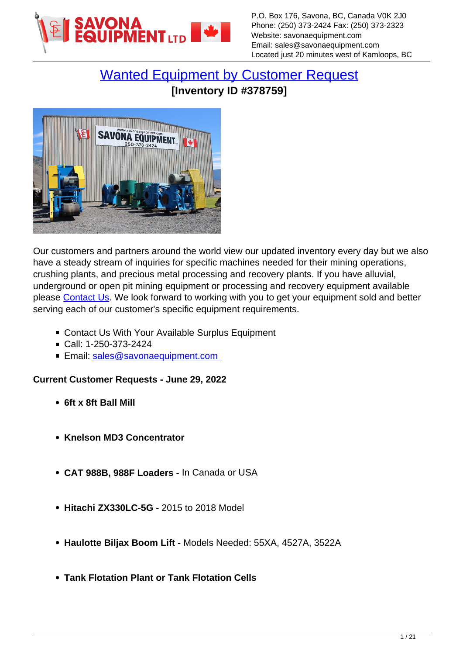

# [Wanted Equipment by Customer Request](https://www.savonaequipment.com/en/wanted-equipment-by-customer-request-p378759) **[Inventory ID #378759]**



Our customers and partners around the world view our updated inventory every day but we also have a steady stream of inquiries for specific machines needed for their mining operations, crushing plants, and precious metal processing and recovery plants. If you have alluvial, underground or open pit mining equipment or processing and recovery equipment available please [Contact Us.](mailto:sales@savonaequipment.com) We look forward to working with you to get your equipment sold and better serving each of our customer's specific equipment requirements.

- Contact Us With Your Available Surplus Equipment
- Call: 1-250-373-2424
- Email: sales@savonaequipment.com

# **Current Customer Requests - June 29, 2022**

- **6ft x 8ft Ball Mill**
- **Knelson MD3 Concentrator**
- **CAT 988B, 988F Loaders** In Canada or USA
- **Hitachi ZX330LC-5G** 2015 to 2018 Model
- **Haulotte Biljax Boom Lift** Models Needed: 55XA, 4527A, 3522A
- **Tank Flotation Plant or Tank Flotation Cells**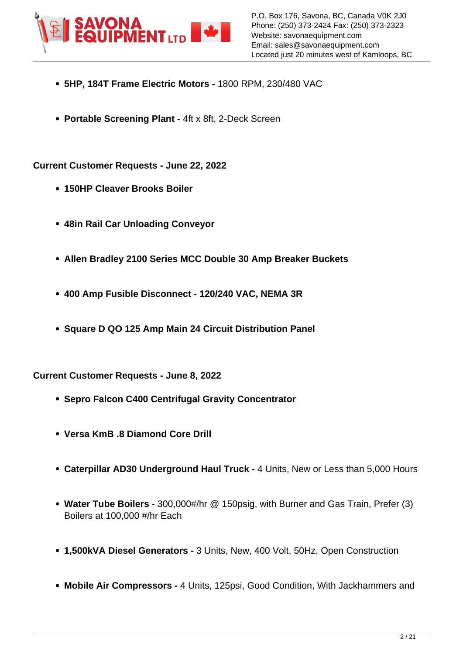

- **5HP, 184T Frame Electric Motors** 1800 RPM, 230/480 VAC
- **Portable Screening Plant -** 4ft x 8ft, 2-Deck Screen

**Current Customer Requests - June 22, 2022**

- **150HP Cleaver Brooks Boiler**
- **48in Rail Car Unloading Conveyor**
- **Allen Bradley 2100 Series MCC Double 30 Amp Breaker Buckets**
- **400 Amp Fusible Disconnect 120/240 VAC, NEMA 3R**
- **Square D QO 125 Amp Main 24 Circuit Distribution Panel**

**Current Customer Requests - June 8, 2022**

- **Sepro Falcon C400 Centrifugal Gravity Concentrator**
- **Versa KmB .8 Diamond Core Drill**
- **Caterpillar AD30 Underground Haul Truck** 4 Units, New or Less than 5,000 Hours
- **Water Tube Boilers** 300,000#/hr @ 150psig, with Burner and Gas Train, Prefer (3) Boilers at 100,000 #/hr Each
- **1,500kVA Diesel Generators** 3 Units, New, 400 Volt, 50Hz, Open Construction
- **Mobile Air Compressors** 4 Units, 125psi, Good Condition, With Jackhammers and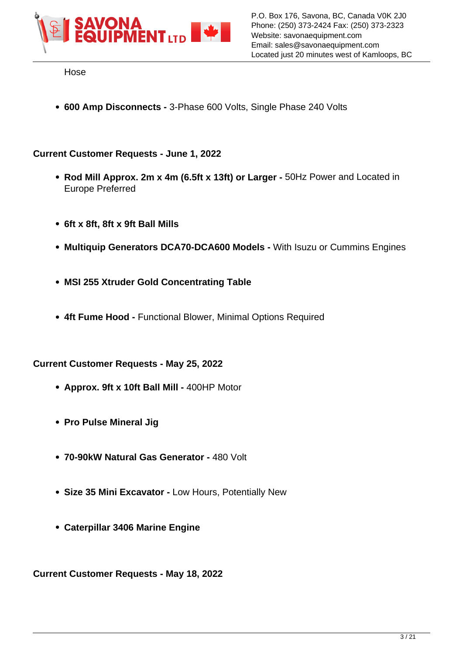

Hose

**600 Amp Disconnects -** 3-Phase 600 Volts, Single Phase 240 Volts

### **Current Customer Requests - June 1, 2022**

- **Rod Mill Approx. 2m x 4m (6.5ft x 13ft) or Larger** 50Hz Power and Located in Europe Preferred
- **6ft x 8ft, 8ft x 9ft Ball Mills**
- **Multiquip Generators DCA70-DCA600 Models** With Isuzu or Cummins Engines
- **MSI 255 Xtruder Gold Concentrating Table**
- **4ft Fume Hood** Functional Blower, Minimal Options Required

#### **Current Customer Requests - May 25, 2022**

- **Approx. 9ft x 10ft Ball Mill** 400HP Motor
- **Pro Pulse Mineral Jig**
- **70-90kW Natural Gas Generator** 480 Volt
- **Size 35 Mini Excavator** Low Hours, Potentially New
- **Caterpillar 3406 Marine Engine**

**Current Customer Requests - May 18, 2022**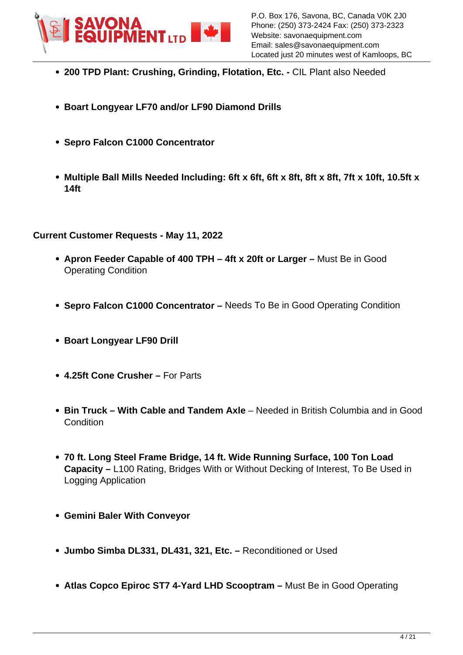

- **200 TPD Plant: Crushing, Grinding, Flotation, Etc. -** CIL Plant also Needed
- **Boart Longyear LF70 and/or LF90 Diamond Drills**
- **Sepro Falcon C1000 Concentrator**
- **Multiple Ball Mills Needed Including: 6ft x 6ft, 6ft x 8ft, 8ft x 8ft, 7ft x 10ft, 10.5ft x 14ft**

#### **Current Customer Requests - May 11, 2022**

- **Apron Feeder Capable of 400 TPH 4ft x 20ft or Larger** Must Be in Good Operating Condition
- **Sepro Falcon C1000 Concentrator** Needs To Be in Good Operating Condition
- **Boart Longyear LF90 Drill**
- **4.25ft Cone Crusher** For Parts
- **Bin Truck With Cable and Tandem Axle** Needed in British Columbia and in Good Condition
- **70 ft. Long Steel Frame Bridge, 14 ft. Wide Running Surface, 100 Ton Load Capacity –** L100 Rating, Bridges With or Without Decking of Interest, To Be Used in Logging Application
- **Gemini Baler With Conveyor**
- **Jumbo Simba DL331, DL431, 321, Etc.** Reconditioned or Used
- **Atlas Copco Epiroc ST7 4-Yard LHD Scooptram** Must Be in Good Operating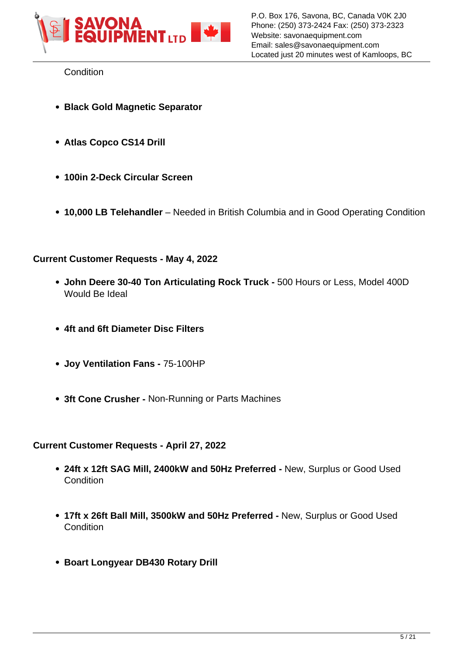

**Condition** 

- **Black Gold Magnetic Separator**
- **Atlas Copco CS14 Drill**
- **100in 2-Deck Circular Screen**
- **10,000 LB Telehandler** Needed in British Columbia and in Good Operating Condition

## **Current Customer Requests - May 4, 2022**

- **John Deere 30-40 Ton Articulating Rock Truck** 500 Hours or Less, Model 400D Would Be Ideal
- **4ft and 6ft Diameter Disc Filters**
- **Joy Ventilation Fans -** 75-100HP
- **3ft Cone Crusher** Non-Running or Parts Machines

# **Current Customer Requests - April 27, 2022**

- **24ft x 12ft SAG Mill, 2400kW and 50Hz Preferred** New, Surplus or Good Used **Condition**
- **17ft x 26ft Ball Mill, 3500kW and 50Hz Preferred** New, Surplus or Good Used **Condition**
- **Boart Longyear DB430 Rotary Drill**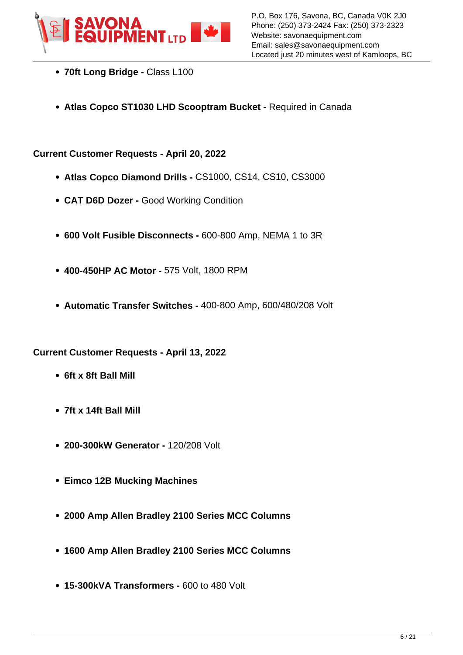

- **70ft Long Bridge** Class L100
- **Atlas Copco ST1030 LHD Scooptram Bucket** Required in Canada

#### **Current Customer Requests - April 20, 2022**

- **Atlas Copco Diamond Drills** CS1000, CS14, CS10, CS3000
- **CAT D6D Dozer** Good Working Condition
- **600 Volt Fusible Disconnects -** 600-800 Amp, NEMA 1 to 3R
- **400-450HP AC Motor -** 575 Volt, 1800 RPM
- **Automatic Transfer Switches -** 400-800 Amp, 600/480/208 Volt

#### **Current Customer Requests - April 13, 2022**

- **6ft x 8ft Ball Mill**
- **7ft x 14ft Ball Mill**
- **200-300kW Generator** 120/208 Volt
- **Eimco 12B Mucking Machines**
- **2000 Amp Allen Bradley 2100 Series MCC Columns**
- **1600 Amp Allen Bradley 2100 Series MCC Columns**
- **15-300kVA Transformers** 600 to 480 Volt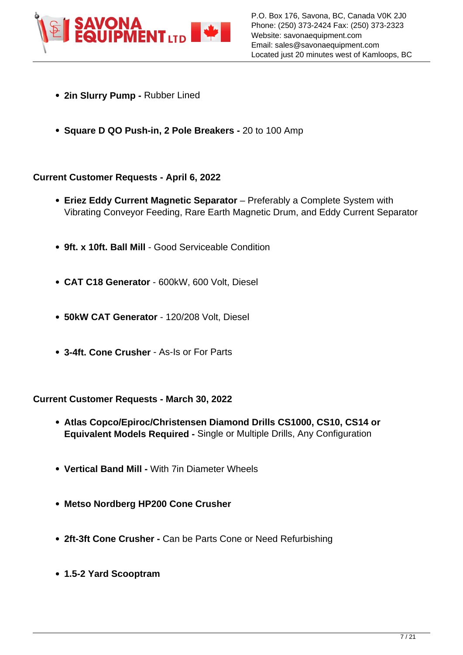

- **2in Slurry Pump** Rubber Lined
- **Square D QO Push-in, 2 Pole Breakers** 20 to 100 Amp

## **Current Customer Requests - April 6, 2022**

- **Eriez Eddy Current Magnetic Separator**  Preferably a Complete System with Vibrating Conveyor Feeding, Rare Earth Magnetic Drum, and Eddy Current Separator
- **9ft. x 10ft. Ball Mill**  Good Serviceable Condition
- **CAT C18 Generator**  600kW, 600 Volt, Diesel
- **50kW CAT Generator**  120/208 Volt, Diesel
- **3-4ft. Cone Crusher**  As-Is or For Parts

#### **Current Customer Requests - March 30, 2022**

- **Atlas Copco/Epiroc/Christensen Diamond Drills CS1000, CS10, CS14 or Equivalent Models Required -** Single or Multiple Drills, Any Configuration
- **Vertical Band Mill** With 7in Diameter Wheels
- **Metso Nordberg HP200 Cone Crusher**
- **2ft-3ft Cone Crusher** Can be Parts Cone or Need Refurbishing
- **1.5-2 Yard Scooptram**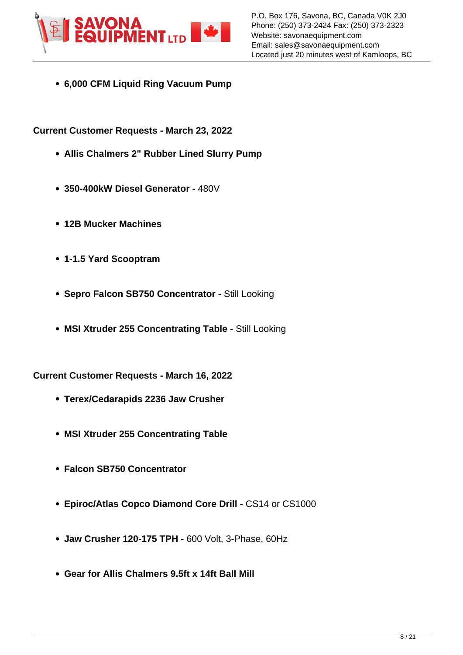

**6,000 CFM Liquid Ring Vacuum Pump**

**Current Customer Requests - March 23, 2022**

- **Allis Chalmers 2" Rubber Lined Slurry Pump**
- **350-400kW Diesel Generator** 480V
- **12B Mucker Machines**
- **1-1.5 Yard Scooptram**
- **Sepro Falcon SB750 Concentrator Still Looking**
- **MSI Xtruder 255 Concentrating Table** Still Looking

**Current Customer Requests - March 16, 2022**

- **Terex/Cedarapids 2236 Jaw Crusher**
- **MSI Xtruder 255 Concentrating Table**
- **Falcon SB750 Concentrator**
- **Epiroc/Atlas Copco Diamond Core Drill** CS14 or CS1000
- **Jaw Crusher 120-175 TPH** 600 Volt, 3-Phase, 60Hz
- **Gear for Allis Chalmers 9.5ft x 14ft Ball Mill**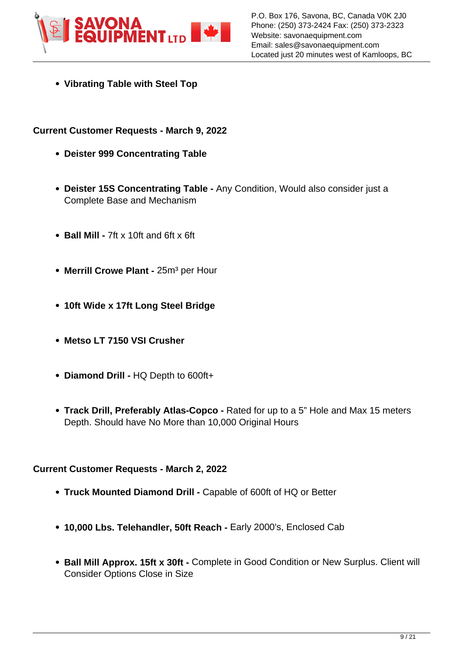

**Vibrating Table with Steel Top**

## **Current Customer Requests - March 9, 2022**

- **Deister 999 Concentrating Table**
- **Deister 15S Concentrating Table** Any Condition, Would also consider just a Complete Base and Mechanism
- **Ball Mill** 7ft x 10ft and 6ft x 6ft
- **Merrill Crowe Plant 25m<sup>3</sup> per Hour**
- **10ft Wide x 17ft Long Steel Bridge**
- **Metso LT 7150 VSI Crusher**
- **Diamond Drill** HQ Depth to 600ft+
- **Track Drill, Preferably Atlas-Copco** Rated for up to a 5" Hole and Max 15 meters Depth. Should have No More than 10,000 Original Hours

### **Current Customer Requests - March 2, 2022**

- **Truck Mounted Diamond Drill -** Capable of 600ft of HQ or Better
- **10,000 Lbs. Telehandler, 50ft Reach** Early 2000's, Enclosed Cab
- **Ball Mill Approx. 15ft x 30ft** Complete in Good Condition or New Surplus. Client will Consider Options Close in Size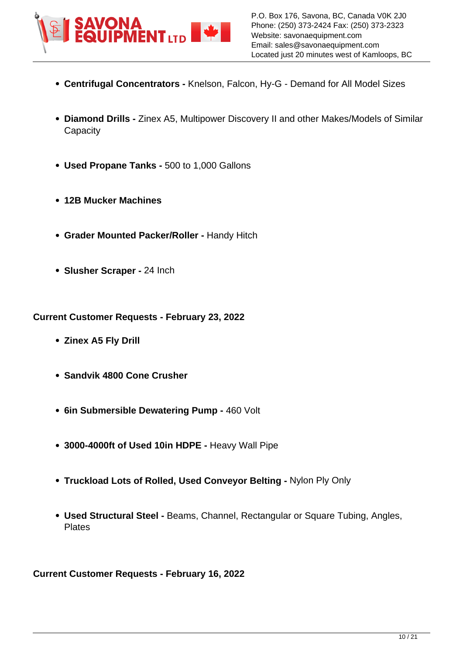

- **Centrifugal Concentrators** Knelson, Falcon, Hy-G Demand for All Model Sizes
- **Diamond Drills** Zinex A5, Multipower Discovery II and other Makes/Models of Similar **Capacity**
- **Used Propane Tanks** 500 to 1,000 Gallons
- **12B Mucker Machines**
- **Grader Mounted Packer/Roller -** Handy Hitch
- **Slusher Scraper -** 24 Inch

**Current Customer Requests - February 23, 2022**

- **Zinex A5 Fly Drill**
- **Sandvik 4800 Cone Crusher**
- **6in Submersible Dewatering Pump 460 Volt**
- **3000-4000ft of Used 10in HDPE** Heavy Wall Pipe
- **Truckload Lots of Rolled, Used Conveyor Belting -** Nylon Ply Only
- **Used Structural Steel** Beams, Channel, Rectangular or Square Tubing, Angles, Plates

**Current Customer Requests - February 16, 2022**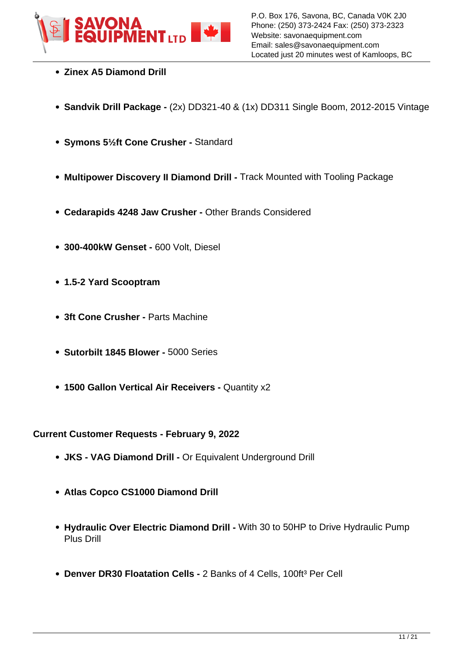

- **Zinex A5 Diamond Drill**
- **Sandvik Drill Package** (2x) DD321-40 & (1x) DD311 Single Boom, 2012-2015 Vintage
- **Symons 5½ft Cone Crusher** Standard
- **Multipower Discovery II Diamond Drill** Track Mounted with Tooling Package
- **Cedarapids 4248 Jaw Crusher** Other Brands Considered
- **300-400kW Genset** 600 Volt, Diesel
- **1.5-2 Yard Scooptram**
- **3ft Cone Crusher** Parts Machine
- **Sutorbilt 1845 Blower** 5000 Series
- **1500 Gallon Vertical Air Receivers** Quantity x2

**Current Customer Requests - February 9, 2022**

- **JKS VAG Diamond Drill** Or Equivalent Underground Drill
- **Atlas Copco CS1000 Diamond Drill**
- **Hydraulic Over Electric Diamond Drill** With 30 to 50HP to Drive Hydraulic Pump Plus Drill
- **Denver DR30 Floatation Cells 2 Banks of 4 Cells, 100ft<sup>3</sup> Per Cell**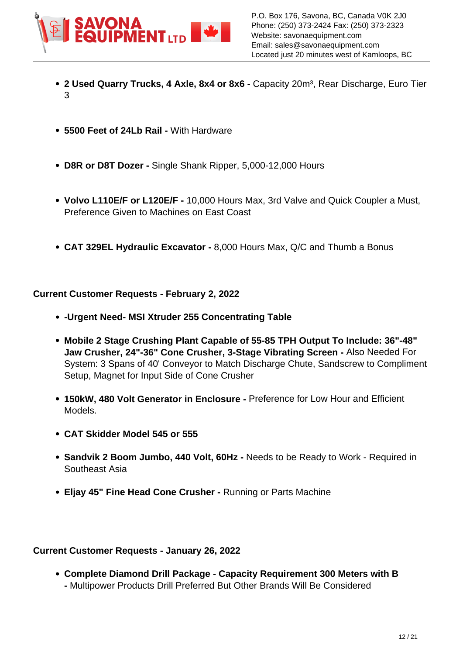

- **2 Used Quarry Trucks, 4 Axle, 8x4 or 8x6 Capacity 20m<sup>3</sup>, Rear Discharge, Euro Tier** 3
- **5500 Feet of 24Lb Rail** With Hardware
- **D8R or D8T Dozer** Single Shank Ripper, 5,000-12,000 Hours
- **Volvo L110E/F or L120E/F** 10,000 Hours Max, 3rd Valve and Quick Coupler a Must, Preference Given to Machines on East Coast
- **CAT 329EL Hydraulic Excavator** 8,000 Hours Max, Q/C and Thumb a Bonus

## **Current Customer Requests - February 2, 2022**

- **-Urgent Need- MSI Xtruder 255 Concentrating Table**
- **Mobile 2 Stage Crushing Plant Capable of 55-85 TPH Output To Include: 36"-48" Jaw Crusher, 24"-36" Cone Crusher, 3-Stage Vibrating Screen -** Also Needed For System: 3 Spans of 40' Conveyor to Match Discharge Chute, Sandscrew to Compliment Setup, Magnet for Input Side of Cone Crusher
- **150kW, 480 Volt Generator in Enclosure -** Preference for Low Hour and Efficient Models.
- **CAT Skidder Model 545 or 555**
- **Sandvik 2 Boom Jumbo, 440 Volt, 60Hz -** Needs to be Ready to Work Required in Southeast Asia
- **Eljay 45" Fine Head Cone Crusher -** Running or Parts Machine

# **Current Customer Requests - January 26, 2022**

**Complete Diamond Drill Package - Capacity Requirement 300 Meters with B -** Multipower Products Drill Preferred But Other Brands Will Be Considered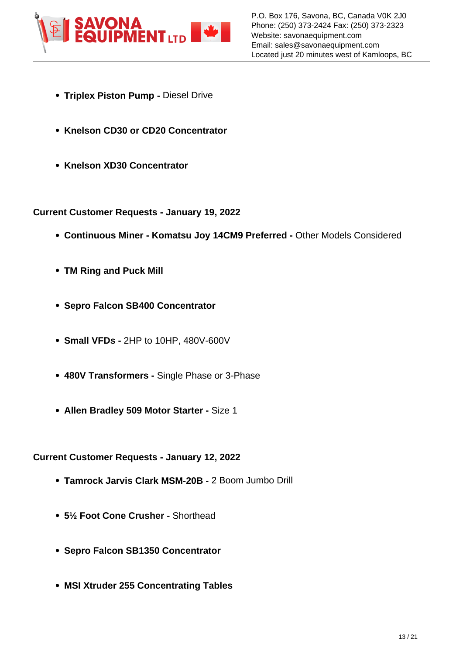

- **Triplex Piston Pump Diesel Drive**
- **Knelson CD30 or CD20 Concentrator**
- **Knelson XD30 Concentrator**

**Current Customer Requests - January 19, 2022**

- **Continuous Miner Komatsu Jov 14CM9 Preferred Other Models Considered**
- **TM Ring and Puck Mill**
- **Sepro Falcon SB400 Concentrator**
- **Small VFDs** 2HP to 10HP, 480V-600V
- **480V Transformers -** Single Phase or 3-Phase
- **Allen Bradley 509 Motor Starter -** Size 1

**Current Customer Requests - January 12, 2022**

- **Tamrock Jarvis Clark MSM-20B -** 2 Boom Jumbo Drill
- **5½ Foot Cone Crusher -** Shorthead
- **Sepro Falcon SB1350 Concentrator**
- **MSI Xtruder 255 Concentrating Tables**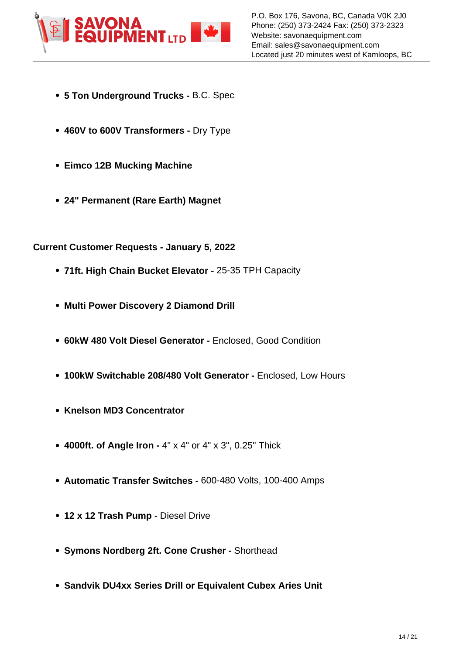

- **5 Ton Underground Trucks -** B.C. Spec
- **460V to 600V Transformers -** Dry Type
- **Eimco 12B Mucking Machine**
- **24" Permanent (Rare Earth) Magnet**

## **Current Customer Requests - January 5, 2022**

- **71ft. High Chain Bucket Elevator -** 25-35 TPH Capacity
- **Multi Power Discovery 2 Diamond Drill**
- **60kW 480 Volt Diesel Generator -** Enclosed, Good Condition
- **100kW Switchable 208/480 Volt Generator -** Enclosed, Low Hours
- **Knelson MD3 Concentrator**
- **4000ft. of Angle Iron -** 4" x 4" or 4" x 3", 0.25" Thick
- **Automatic Transfer Switches -** 600-480 Volts, 100-400 Amps
- **12 x 12 Trash Pump Diesel Drive**
- **Symons Nordberg 2ft. Cone Crusher -** Shorthead
- **Sandvik DU4xx Series Drill or Equivalent Cubex Aries Unit**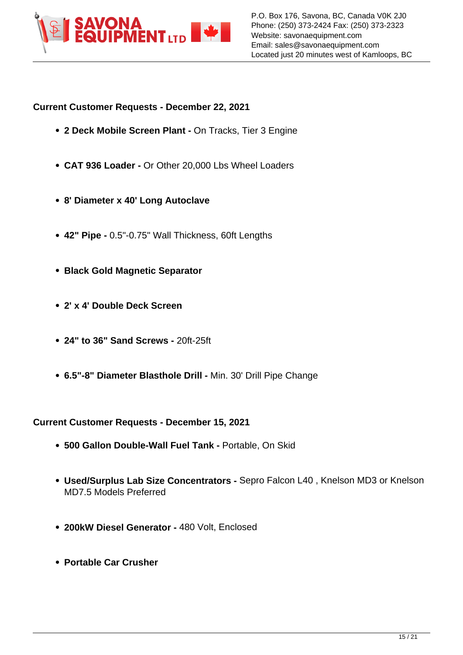

## **Current Customer Requests - December 22, 2021**

- **2 Deck Mobile Screen Plant On Tracks, Tier 3 Engine**
- **CAT 936 Loader** Or Other 20,000 Lbs Wheel Loaders
- **8' Diameter x 40' Long Autoclave**
- **42" Pipe** 0.5"-0.75" Wall Thickness, 60ft Lengths
- **Black Gold Magnetic Separator**
- **2' x 4' Double Deck Screen**
- **24" to 36" Sand Screws** 20ft-25ft
- **6.5"-8" Diameter Blasthole Drill -** Min. 30' Drill Pipe Change

# **Current Customer Requests - December 15, 2021**

- **500 Gallon Double-Wall Fuel Tank** Portable, On Skid
- **Used/Surplus Lab Size Concentrators -** Sepro Falcon L40 , Knelson MD3 or Knelson MD7.5 Models Preferred
- **200kW Diesel Generator** 480 Volt, Enclosed
- **Portable Car Crusher**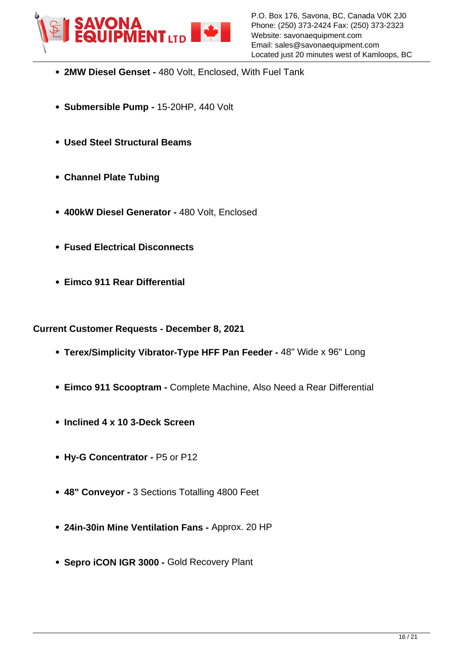

- **2MW Diesel Genset** 480 Volt, Enclosed, With Fuel Tank
- **Submersible Pump** 15-20HP, 440 Volt
- **Used Steel Structural Beams**
- **Channel Plate Tubing**
- **400kW Diesel Generator** 480 Volt, Enclosed
- **Fused Electrical Disconnects**
- **Eimco 911 Rear Differential**

#### **Current Customer Requests - December 8, 2021**

- **Terex/Simplicity Vibrator-Type HFF Pan Feeder** 48" Wide x 96" Long
- **Eimco 911 Scooptram** Complete Machine, Also Need a Rear Differential
- **Inclined 4 x 10 3-Deck Screen**
- **Hy-G Concentrator** P5 or P12
- **48" Conveyor** 3 Sections Totalling 4800 Feet
- **24in-30in Mine Ventilation Fans -** Approx. 20 HP
- **Sepro iCON IGR 3000** Gold Recovery Plant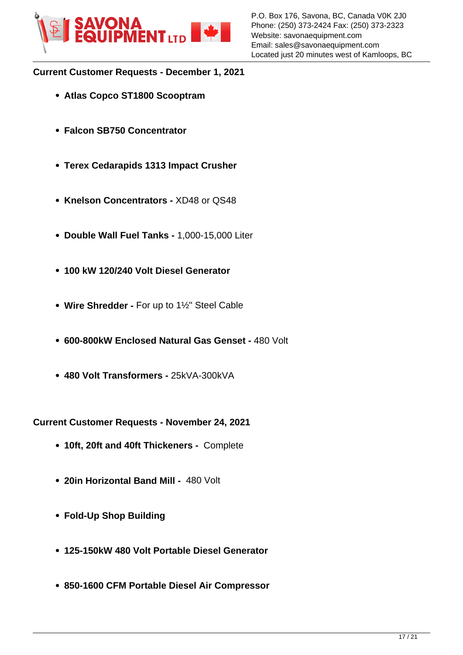

# **Current Customer Requests - December 1, 2021**

- **Atlas Copco ST1800 Scooptram**
- **Falcon SB750 Concentrator**
- **Terex Cedarapids 1313 Impact Crusher**
- **Knelson Concentrators** XD48 or QS48
- **Double Wall Fuel Tanks** 1,000-15,000 Liter
- **100 kW 120/240 Volt Diesel Generator**
- **Wire Shredder** For up to 1½" Steel Cable
- **600-800kW Enclosed Natural Gas Genset** 480 Volt
- **480 Volt Transformers** 25kVA-300kVA

**Current Customer Requests - November 24, 2021**

- **10ft, 20ft and 40ft Thickeners -** Complete
- **20in Horizontal Band Mill** 480 Volt
- **Fold-Up Shop Building**
- **125-150kW 480 Volt Portable Diesel Generator**
- **850-1600 CFM Portable Diesel Air Compressor**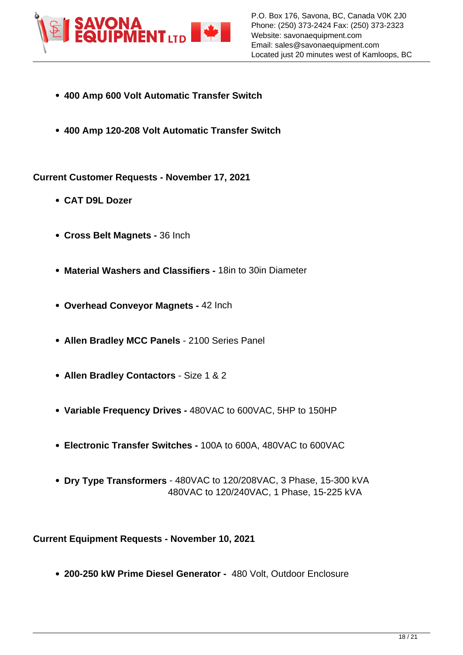

- **400 Amp 600 Volt Automatic Transfer Switch**
- **400 Amp 120-208 Volt Automatic Transfer Switch**

**Current Customer Requests - November 17, 2021**

- **CAT D9L Dozer**
- **Cross Belt Magnets** 36 Inch
- **Material Washers and Classifiers** 18in to 30in Diameter
- **Overhead Conveyor Magnets** 42 Inch
- **Allen Bradley MCC Panels** 2100 Series Panel
- **Allen Bradley Contactors** Size 1 & 2
- **Variable Frequency Drives** 480VAC to 600VAC, 5HP to 150HP
- **Electronic Transfer Switches** 100A to 600A, 480VAC to 600VAC
- **Dry Type Transformers** 480VAC to 120/208VAC, 3 Phase, 15-300 kVA 480VAC to 120/240VAC, 1 Phase, 15-225 kVA

**Current Equipment Requests - November 10, 2021**

**200-250 kW Prime Diesel Generator -** 480 Volt, Outdoor Enclosure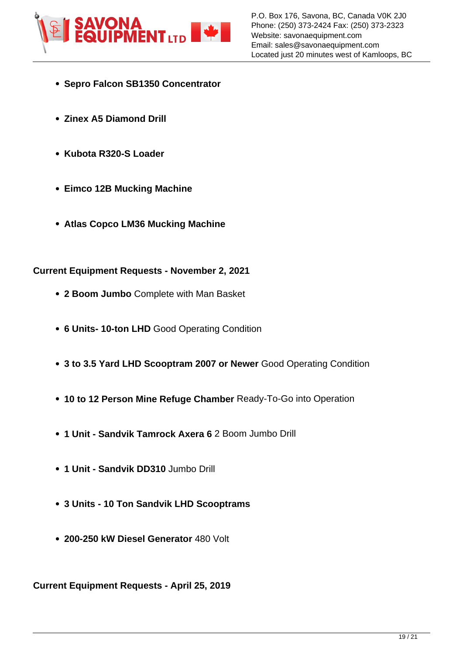

- **Sepro Falcon SB1350 Concentrator**
- **Zinex A5 Diamond Drill**
- **Kubota R320-S Loader**
- **Eimco 12B Mucking Machine**
- **Atlas Copco LM36 Mucking Machine**

#### **Current Equipment Requests - November 2, 2021**

- **2 Boom Jumbo** Complete with Man Basket
- **6 Units- 10-ton LHD** Good Operating Condition
- **3 to 3.5 Yard LHD Scooptram 2007 or Newer** Good Operating Condition
- **10 to 12 Person Mine Refuge Chamber** Ready-To-Go into Operation
- **1 Unit Sandvik Tamrock Axera 6** 2 Boom Jumbo Drill
- **1 Unit Sandvik DD310** Jumbo Drill
- **3 Units 10 Ton Sandvik LHD Scooptrams**
- **200-250 kW Diesel Generator** 480 Volt

**Current Equipment Requests - April 25, 2019**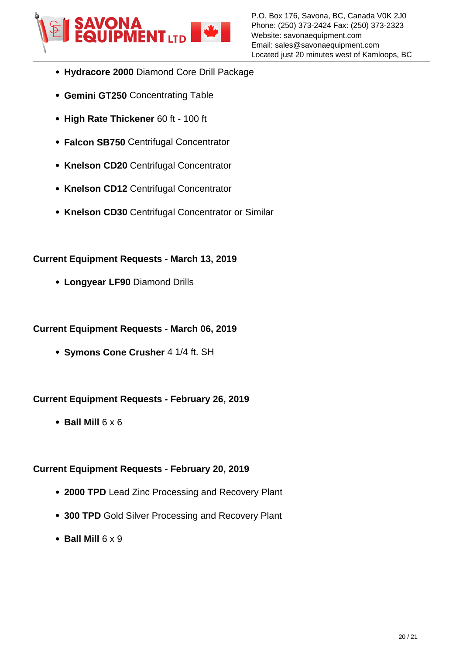

- **Hydracore 2000** Diamond Core Drill Package
- **Gemini GT250** Concentrating Table
- **High Rate Thickener** 60 ft 100 ft
- **Falcon SB750** Centrifugal Concentrator
- **Knelson CD20** Centrifugal Concentrator
- **Knelson CD12** Centrifugal Concentrator
- **Knelson CD30** Centrifugal Concentrator or Similar

## **Current Equipment Requests - March 13, 2019**

**Longyear LF90** Diamond Drills

## **Current Equipment Requests - March 06, 2019**

**Symons Cone Crusher** 4 1/4 ft. SH

# **Current Equipment Requests - February 26, 2019**

 $\bullet$  Ball Mill  $6 \times 6$ 

# **Current Equipment Requests - February 20, 2019**

- **2000 TPD** Lead Zinc Processing and Recovery Plant
- **300 TPD** Gold Silver Processing and Recovery Plant
- **Ball Mill** 6 x 9